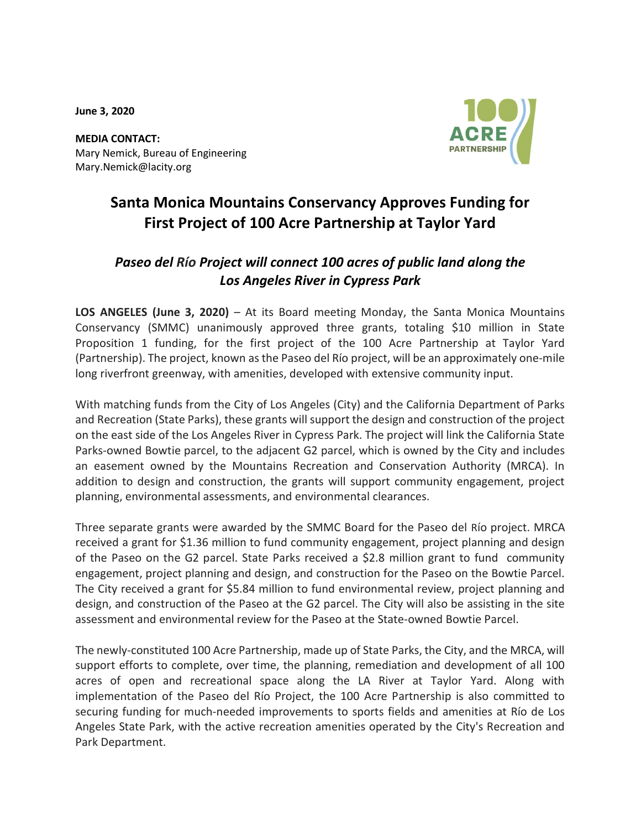June 3, 2020



MEDIA CONTACT: Mary Nemick, Bureau of Engineering Mary.Nemick@lacity.org

# Santa Monica Mountains Conservancy Approves Funding for First Project of 100 Acre Partnership at Taylor Yard

## Paseo del Río Project will connect 100 acres of public land along the Los Angeles River in Cypress Park

LOS ANGELES (June 3, 2020) – At its Board meeting Monday, the Santa Monica Mountains Conservancy (SMMC) unanimously approved three grants, totaling \$10 million in State Proposition 1 funding, for the first project of the 100 Acre Partnership at Taylor Yard (Partnership). The project, known as the Paseo del Río project, will be an approximately one-mile long riverfront greenway, with amenities, developed with extensive community input.

With matching funds from the City of Los Angeles (City) and the California Department of Parks and Recreation (State Parks), these grants will support the design and construction of the project on the east side of the Los Angeles River in Cypress Park. The project will link the California State Parks-owned Bowtie parcel, to the adjacent G2 parcel, which is owned by the City and includes an easement owned by the Mountains Recreation and Conservation Authority (MRCA). In addition to design and construction, the grants will support community engagement, project planning, environmental assessments, and environmental clearances.

Three separate grants were awarded by the SMMC Board for the Paseo del Río project. MRCA received a grant for \$1.36 million to fund community engagement, project planning and design of the Paseo on the G2 parcel. State Parks received a \$2.8 million grant to fund community engagement, project planning and design, and construction for the Paseo on the Bowtie Parcel. The City received a grant for \$5.84 million to fund environmental review, project planning and design, and construction of the Paseo at the G2 parcel. The City will also be assisting in the site assessment and environmental review for the Paseo at the State-owned Bowtie Parcel.

The newly-constituted 100 Acre Partnership, made up of State Parks, the City, and the MRCA, will support efforts to complete, over time, the planning, remediation and development of all 100 acres of open and recreational space along the LA River at Taylor Yard. Along with implementation of the Paseo del Río Project, the 100 Acre Partnership is also committed to securing funding for much-needed improvements to sports fields and amenities at Río de Los Angeles State Park, with the active recreation amenities operated by the City's Recreation and Park Department.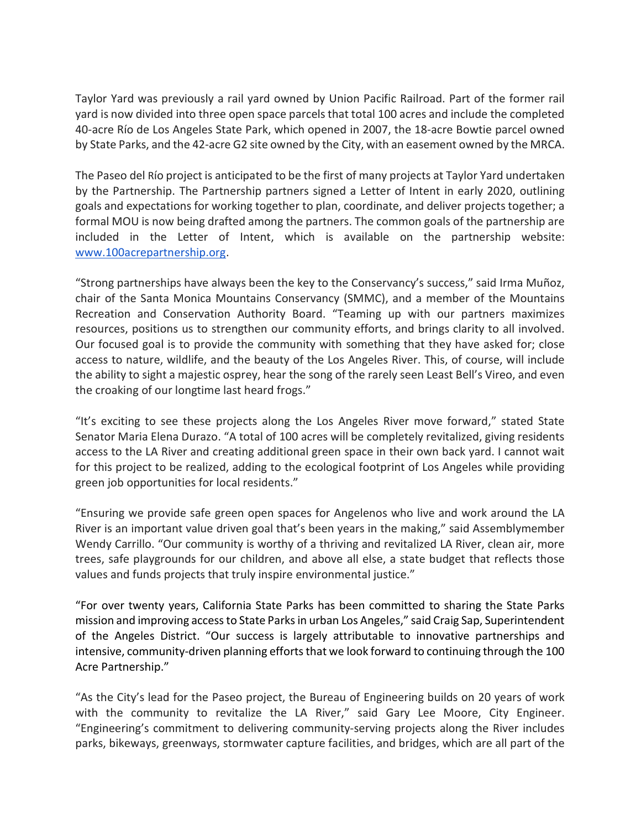Taylor Yard was previously a rail yard owned by Union Pacific Railroad. Part of the former rail yard is now divided into three open space parcels that total 100 acres and include the completed 40-acre Río de Los Angeles State Park, which opened in 2007, the 18-acre Bowtie parcel owned by State Parks, and the 42-acre G2 site owned by the City, with an easement owned by the MRCA.

The Paseo del Río project is anticipated to be the first of many projects at Taylor Yard undertaken by the Partnership. The Partnership partners signed a Letter of Intent in early 2020, outlining goals and expectations for working together to plan, coordinate, and deliver projects together; a formal MOU is now being drafted among the partners. The common goals of the partnership are included in the Letter of Intent, which is available on the partnership website: www.100acrepartnership.org.

"Strong partnerships have always been the key to the Conservancy's success," said Irma Muñoz, chair of the Santa Monica Mountains Conservancy (SMMC), and a member of the Mountains Recreation and Conservation Authority Board. "Teaming up with our partners maximizes resources, positions us to strengthen our community efforts, and brings clarity to all involved. Our focused goal is to provide the community with something that they have asked for; close access to nature, wildlife, and the beauty of the Los Angeles River. This, of course, will include the ability to sight a majestic osprey, hear the song of the rarely seen Least Bell's Vireo, and even the croaking of our longtime last heard frogs."

"It's exciting to see these projects along the Los Angeles River move forward," stated State Senator Maria Elena Durazo. "A total of 100 acres will be completely revitalized, giving residents access to the LA River and creating additional green space in their own back yard. I cannot wait for this project to be realized, adding to the ecological footprint of Los Angeles while providing green job opportunities for local residents."

"Ensuring we provide safe green open spaces for Angelenos who live and work around the LA River is an important value driven goal that's been years in the making," said Assemblymember Wendy Carrillo. "Our community is worthy of a thriving and revitalized LA River, clean air, more trees, safe playgrounds for our children, and above all else, a state budget that reflects those values and funds projects that truly inspire environmental justice."

"For over twenty years, California State Parks has been committed to sharing the State Parks mission and improving access to State Parks in urban Los Angeles," said Craig Sap, Superintendent of the Angeles District. "Our success is largely attributable to innovative partnerships and intensive, community-driven planning efforts that we look forward to continuing through the 100 Acre Partnership."

"As the City's lead for the Paseo project, the Bureau of Engineering builds on 20 years of work with the community to revitalize the LA River," said Gary Lee Moore, City Engineer. "Engineering's commitment to delivering community-serving projects along the River includes parks, bikeways, greenways, stormwater capture facilities, and bridges, which are all part of the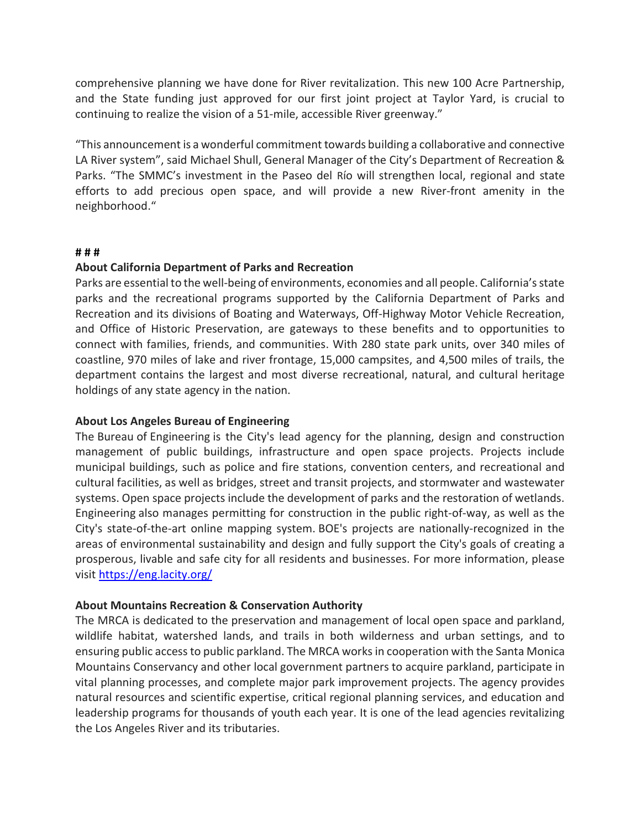comprehensive planning we have done for River revitalization. This new 100 Acre Partnership, and the State funding just approved for our first joint project at Taylor Yard, is crucial to continuing to realize the vision of a 51-mile, accessible River greenway."

"This announcement is a wonderful commitment towards building a collaborative and connective LA River system", said Michael Shull, General Manager of the City's Department of Recreation & Parks. "The SMMC's investment in the Paseo del Río will strengthen local, regional and state efforts to add precious open space, and will provide a new River-front amenity in the neighborhood."

#### # # #

### About California Department of Parks and Recreation

Parks are essential to the well-being of environments, economies and all people. California's state parks and the recreational programs supported by the California Department of Parks and Recreation and its divisions of Boating and Waterways, Off-Highway Motor Vehicle Recreation, and Office of Historic Preservation, are gateways to these benefits and to opportunities to connect with families, friends, and communities. With 280 state park units, over 340 miles of coastline, 970 miles of lake and river frontage, 15,000 campsites, and 4,500 miles of trails, the department contains the largest and most diverse recreational, natural, and cultural heritage holdings of any state agency in the nation.

### About Los Angeles Bureau of Engineering

The Bureau of Engineering is the City's lead agency for the planning, design and construction management of public buildings, infrastructure and open space projects. Projects include municipal buildings, such as police and fire stations, convention centers, and recreational and cultural facilities, as well as bridges, street and transit projects, and stormwater and wastewater systems. Open space projects include the development of parks and the restoration of wetlands. Engineering also manages permitting for construction in the public right-of-way, as well as the City's state-of-the-art online mapping system. BOE's projects are nationally-recognized in the areas of environmental sustainability and design and fully support the City's goals of creating a prosperous, livable and safe city for all residents and businesses. For more information, please visit https://eng.lacity.org/

### About Mountains Recreation & Conservation Authority

The MRCA is dedicated to the preservation and management of local open space and parkland, wildlife habitat, watershed lands, and trails in both wilderness and urban settings, and to ensuring public access to public parkland. The MRCA works in cooperation with the Santa Monica Mountains Conservancy and other local government partners to acquire parkland, participate in vital planning processes, and complete major park improvement projects. The agency provides natural resources and scientific expertise, critical regional planning services, and education and leadership programs for thousands of youth each year. It is one of the lead agencies revitalizing the Los Angeles River and its tributaries.